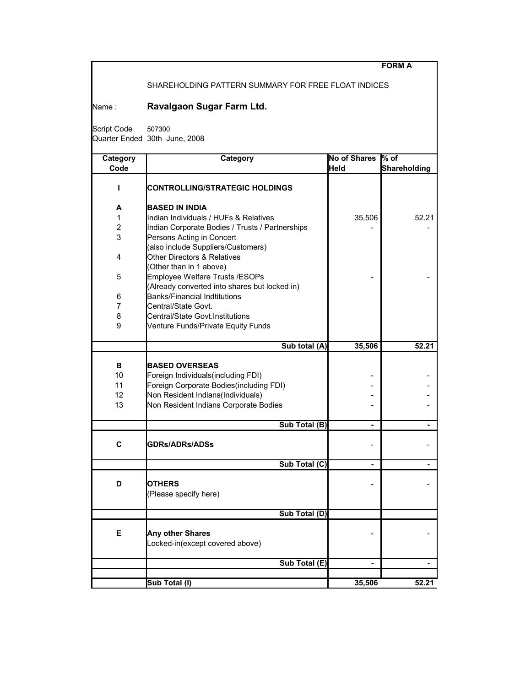|                |                                                     |                     | <b>FORM A</b>       |
|----------------|-----------------------------------------------------|---------------------|---------------------|
|                | SHAREHOLDING PATTERN SUMMARY FOR FREE FLOAT INDICES |                     |                     |
| Name :         | Ravalgaon Sugar Farm Ltd.                           |                     |                     |
|                |                                                     |                     |                     |
| Script Code    | 507300                                              |                     |                     |
|                | Quarter Ended 30th June, 2008                       |                     |                     |
| Category       | Category                                            | <b>No of Shares</b> | $%$ of              |
| Code           |                                                     | <b>Held</b>         | <b>Shareholding</b> |
| п              | CONTROLLING/STRATEGIC HOLDINGS                      |                     |                     |
|                |                                                     |                     |                     |
| А              | <b>BASED IN INDIA</b>                               |                     |                     |
| 1              | Indian Individuals / HUFs & Relatives               | 35,506              | 52.21               |
| $\overline{2}$ | Indian Corporate Bodies / Trusts / Partnerships     |                     |                     |
| 3              | Persons Acting in Concert                           |                     |                     |
|                | (also include Suppliers/Customers)                  |                     |                     |
| 4              | <b>Other Directors &amp; Relatives</b>              |                     |                     |
|                | (Other than in 1 above)                             |                     |                     |
| 5              | Employee Welfare Trusts /ESOPs                      |                     |                     |
|                | (Already converted into shares but locked in)       |                     |                     |
| 6              | <b>Banks/Financial Indtitutions</b>                 |                     |                     |
| 7              | Central/State Govt.                                 |                     |                     |
| 8              | Central/State Govt.Institutions                     |                     |                     |
| 9              | Venture Funds/Private Equity Funds                  |                     |                     |
|                |                                                     |                     |                     |
|                | Sub total (A)                                       | 35,506              | 52.21               |
| в              | <b>BASED OVERSEAS</b>                               |                     |                     |
|                |                                                     |                     |                     |
| 10             | Foreign Individuals(including FDI)                  |                     |                     |
| 11             | Foreign Corporate Bodies(including FDI)             |                     |                     |
| 12             | Non Resident Indians(Individuals)                   |                     |                     |
| 13             | Non Resident Indians Corporate Bodies               |                     |                     |
|                | Sub Total (B)                                       |                     |                     |
|                |                                                     |                     |                     |
| C              | <b>GDRs/ADRs/ADSs</b>                               |                     |                     |
|                | Sub Total (C)                                       |                     |                     |
|                |                                                     |                     |                     |
| D              | OTHERS                                              |                     |                     |
|                | (Please specify here)                               |                     |                     |
|                | Sub Total (D)                                       |                     |                     |
|                |                                                     |                     |                     |
| Е              | Any other Shares                                    |                     |                     |
|                | Locked-in(except covered above)                     |                     |                     |
|                |                                                     |                     |                     |
|                | Sub Total (E)                                       | $\blacksquare$      | $\blacksquare$      |
|                |                                                     |                     |                     |
|                | Sub Total (I)                                       | 35,506              | 52.21               |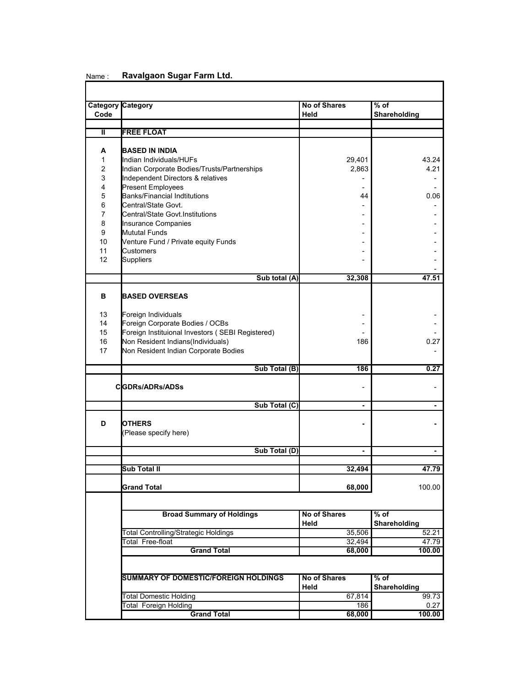| Code           | <b>Category Category</b>                               | <b>No of Shares</b><br>Held | $%$ of<br>Shareholding |  |
|----------------|--------------------------------------------------------|-----------------------------|------------------------|--|
|                |                                                        |                             |                        |  |
| Ш              | <b>FREE FLOAT</b>                                      |                             |                        |  |
|                |                                                        |                             |                        |  |
| A              | <b>BASED IN INDIA</b>                                  |                             |                        |  |
| 1              | Indian Individuals/HUFs                                | 29,401                      | 43.24                  |  |
| $\overline{c}$ | Indian Corporate Bodies/Trusts/Partnerships            | 2,863                       | 4.21                   |  |
| 3              | Independent Directors & relatives                      |                             |                        |  |
| 4              | <b>Present Employees</b>                               |                             |                        |  |
| 5              | <b>Banks/Financial Indtitutions</b>                    | 44                          | 0.06                   |  |
| 6              | Central/State Govt.                                    |                             |                        |  |
| $\overline{7}$ | Central/State Govt.Institutions                        |                             |                        |  |
| 8              | Insurance Companies                                    |                             |                        |  |
| 9              | Mututal Funds                                          |                             |                        |  |
| 10             | Venture Fund / Private equity Funds                    |                             |                        |  |
| 11             | <b>Customers</b>                                       |                             |                        |  |
| 12             | <b>Suppliers</b>                                       |                             |                        |  |
|                |                                                        |                             |                        |  |
|                | Sub total (A)                                          | 32,308                      | 47.51                  |  |
| в              | <b>BASED OVERSEAS</b>                                  |                             |                        |  |
| 13             |                                                        |                             |                        |  |
| 14             | Foreign Individuals<br>Foreign Corporate Bodies / OCBs |                             |                        |  |
| 15             | Foreign Instituional Investors (SEBI Registered)       |                             |                        |  |
| 16             | Non Resident Indians(Individuals)                      | 186                         | 0.27                   |  |
| 17             | Non Resident Indian Corporate Bodies                   |                             |                        |  |
|                |                                                        |                             |                        |  |
|                | Sub Total (B)                                          | 186                         | 0.27                   |  |
|                | <b>CIGDRs/ADRs/ADSs</b>                                |                             |                        |  |
|                | Sub Total (C)                                          | $\blacksquare$              | ٠                      |  |
|                |                                                        |                             |                        |  |
| D              | <b>OTHERS</b>                                          |                             |                        |  |
|                | (Please specify here)                                  |                             |                        |  |
|                |                                                        |                             |                        |  |
|                | Sub Total (D)                                          |                             |                        |  |
|                |                                                        |                             |                        |  |
|                | <b>Sub Total II</b>                                    | 32.494                      | 47.79                  |  |
|                |                                                        |                             |                        |  |
|                | <b>Grand Total</b>                                     | 68,000                      | 100.00                 |  |
|                |                                                        |                             |                        |  |
|                | <b>Broad Summary of Holdings</b>                       | <b>No of Shares</b>         | $%$ of                 |  |
|                |                                                        | Held                        | Shareholding           |  |
|                | <b>Total Controlling/Strategic Holdings</b>            | 35,506                      | 52.21                  |  |
|                | <b>Total Free-float</b>                                | 32,494                      | 47.79                  |  |
|                | <b>Grand Total</b>                                     | 68,000                      | 100.00                 |  |
|                |                                                        |                             |                        |  |
|                | <b>SUMMARY OF DOMESTIC/FOREIGN HOLDINGS</b>            | <b>No of Shares</b>         | $%$ of                 |  |
|                |                                                        | Held                        | Shareholding           |  |
|                | <b>Total Domestic Holding</b>                          | 67,814                      | 99.73                  |  |
|                | <b>Total Foreign Holding</b>                           | 186                         | 0.27                   |  |
|                | <b>Grand Total</b>                                     | 68,000                      | 100.00                 |  |

## Name : **Ravalgaon Sugar Farm Ltd.**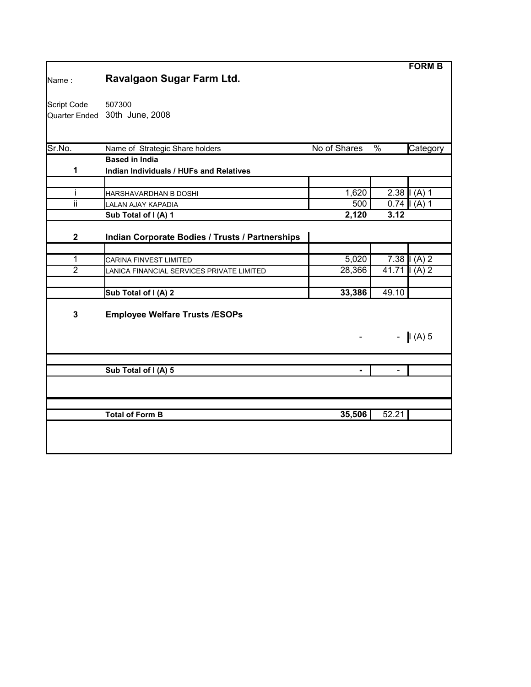| Name:          | Ravalgaon Sugar Farm Ltd.                                        |                |         | <b>FORM B</b>  |
|----------------|------------------------------------------------------------------|----------------|---------|----------------|
| Script Code    | 507300<br>Quarter Ended 30th June, 2008                          |                |         |                |
| Sr.No.         | Name of Strategic Share holders                                  | No of Shares   | %       | Category       |
| 1              | <b>Based in India</b><br>Indian Individuals / HUFs and Relatives |                |         |                |
| i              | HARSHAVARDHAN B DOSHI                                            | 1,620          |         | 2.38 $(A)$ 1   |
| ii             | LALAN AJAY KAPADIA                                               | 500            |         | $0.74$   (A) 1 |
|                | Sub Total of I (A) 1                                             | 2,120          | 3.12    |                |
| $\mathbf 2$    | Indian Corporate Bodies / Trusts / Partnerships                  |                |         |                |
| 1              | CARINA FINVEST LIMITED                                           | 5,020          |         | $7.38$ $(A) 2$ |
| $\overline{2}$ | LANICA FINANCIAL SERVICES PRIVATE LIMITED                        | 28,366         | $41.71$ | $(A)$ 2        |
|                | Sub Total of I (A) 2                                             | 33,386         | 49.10   |                |
| 3              | <b>Employee Welfare Trusts /ESOPs</b>                            |                |         |                |
|                |                                                                  |                |         | $-  I(A) 5 $   |
|                | Sub Total of I (A) 5                                             | $\blacksquare$ |         |                |
|                |                                                                  |                |         |                |
|                | <b>Total of Form B</b>                                           | 35,506         | 52.21   |                |
|                |                                                                  |                |         |                |